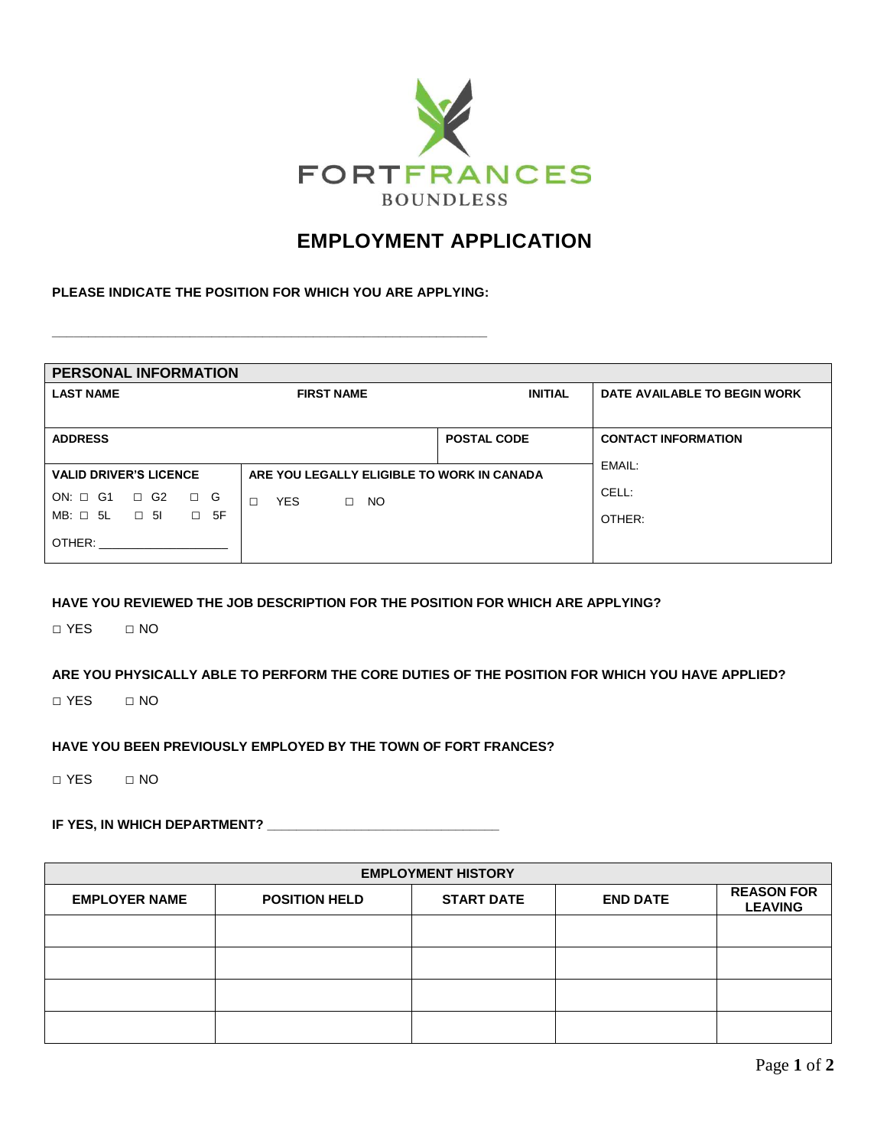

# **EMPLOYMENT APPLICATION**

**PLEASE INDICATE THE POSITION FOR WHICH YOU ARE APPLYING:**

**\_\_\_\_\_\_\_\_\_\_\_\_\_\_\_\_\_\_\_\_\_\_\_\_\_\_\_\_\_\_\_\_\_\_\_\_\_\_\_\_\_\_\_\_\_\_\_\_\_\_\_\_\_\_\_\_\_\_\_\_**

| <b>PERSONAL INFORMATION</b>                                                 |                             |                    |                              |  |  |  |  |
|-----------------------------------------------------------------------------|-----------------------------|--------------------|------------------------------|--|--|--|--|
| <b>LAST NAME</b>                                                            | <b>FIRST NAME</b>           | <b>INITIAL</b>     | DATE AVAILABLE TO BEGIN WORK |  |  |  |  |
|                                                                             |                             |                    |                              |  |  |  |  |
| <b>ADDRESS</b>                                                              |                             | <b>POSTAL CODE</b> | <b>CONTACT INFORMATION</b>   |  |  |  |  |
|                                                                             |                             |                    | EMAIL:                       |  |  |  |  |
| ARE YOU LEGALLY ELIGIBLE TO WORK IN CANADA<br><b>VALID DRIVER'S LICENCE</b> |                             |                    |                              |  |  |  |  |
| $ON: \Box$ G1<br>$\Box$ G2<br>G<br>$\Box$                                   | <b>YES</b><br>NO.<br>$\Box$ |                    | CELL:                        |  |  |  |  |
| $MB: \Box 5L \Box 5I$<br>$\square$ 5F                                       |                             |                    | OTHER:                       |  |  |  |  |
| OTHER:                                                                      |                             |                    |                              |  |  |  |  |

#### **HAVE YOU REVIEWED THE JOB DESCRIPTION FOR THE POSITION FOR WHICH ARE APPLYING?**

□ YES □ NO

**ARE YOU PHYSICALLY ABLE TO PERFORM THE CORE DUTIES OF THE POSITION FOR WHICH YOU HAVE APPLIED?**

□ YES □ NO

#### **HAVE YOU BEEN PREVIOUSLY EMPLOYED BY THE TOWN OF FORT FRANCES?**

□ YES □ NO

# **IF YES, IN WHICH DEPARTMENT? \_\_\_\_\_\_\_\_\_\_\_\_\_\_\_\_\_\_\_\_\_\_\_\_\_\_\_\_\_\_\_\_**

| <b>EMPLOYMENT HISTORY</b> |                      |                   |                 |                                     |  |  |
|---------------------------|----------------------|-------------------|-----------------|-------------------------------------|--|--|
| <b>EMPLOYER NAME</b>      | <b>POSITION HELD</b> | <b>START DATE</b> | <b>END DATE</b> | <b>REASON FOR</b><br><b>LEAVING</b> |  |  |
|                           |                      |                   |                 |                                     |  |  |
|                           |                      |                   |                 |                                     |  |  |
|                           |                      |                   |                 |                                     |  |  |
|                           |                      |                   |                 |                                     |  |  |